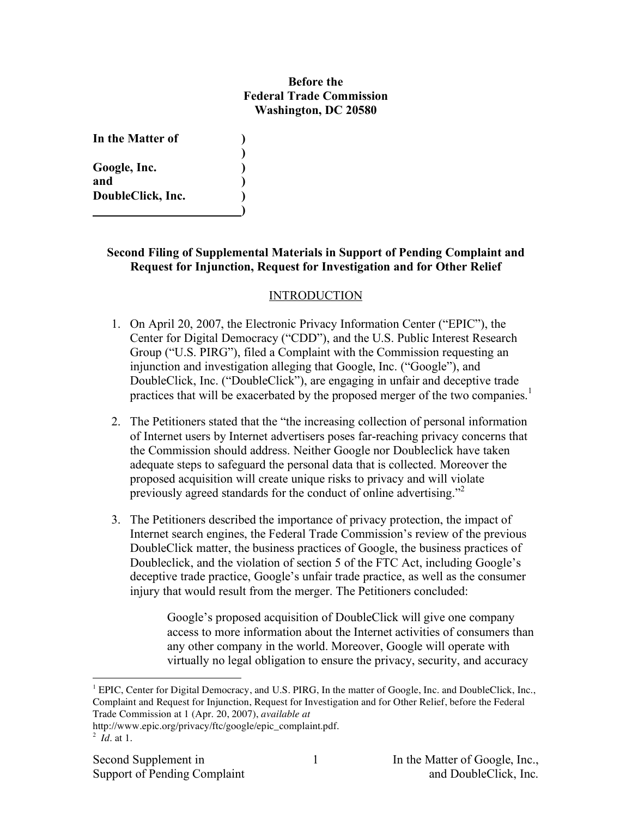### **Before the Federal Trade Commission Washington, DC 20580**

**)**

**)**

| In the Matter of  |  |
|-------------------|--|
|                   |  |
| Google, Inc.      |  |
| and               |  |
| DoubleClick, Inc. |  |
|                   |  |

### **Second Filing of Supplemental Materials in Support of Pending Complaint and Request for Injunction, Request for Investigation and for Other Relief**

### INTRODUCTION

- 1. On April 20, 2007, the Electronic Privacy Information Center ("EPIC"), the Center for Digital Democracy ("CDD"), and the U.S. Public Interest Research Group ("U.S. PIRG"), filed a Complaint with the Commission requesting an injunction and investigation alleging that Google, Inc. ("Google"), and DoubleClick, Inc. ("DoubleClick"), are engaging in unfair and deceptive trade practices that will be exacerbated by the proposed merger of the two companies.<sup>1</sup>
- 2. The Petitioners stated that the "the increasing collection of personal information of Internet users by Internet advertisers poses far-reaching privacy concerns that the Commission should address. Neither Google nor Doubleclick have taken adequate steps to safeguard the personal data that is collected. Moreover the proposed acquisition will create unique risks to privacy and will violate previously agreed standards for the conduct of online advertising."<sup>2</sup>
- 3. The Petitioners described the importance of privacy protection, the impact of Internet search engines, the Federal Trade Commission's review of the previous DoubleClick matter, the business practices of Google, the business practices of Doubleclick, and the violation of section 5 of the FTC Act, including Google's deceptive trade practice, Google's unfair trade practice, as well as the consumer injury that would result from the merger. The Petitioners concluded:

Google's proposed acquisition of DoubleClick will give one company access to more information about the Internet activities of consumers than any other company in the world. Moreover, Google will operate with virtually no legal obligation to ensure the privacy, security, and accuracy

 $\overline{a}$ 

<sup>&</sup>lt;sup>1</sup> EPIC, Center for Digital Democracy, and U.S. PIRG, In the matter of Google, Inc. and DoubleClick, Inc., Complaint and Request for Injunction, Request for Investigation and for Other Relief, before the Federal Trade Commission at 1 (Apr. 20, 2007), *available at*

http://www.epic.org/privacy/ftc/google/epic\_complaint.pdf.

<sup>2</sup> *Id.* at 1.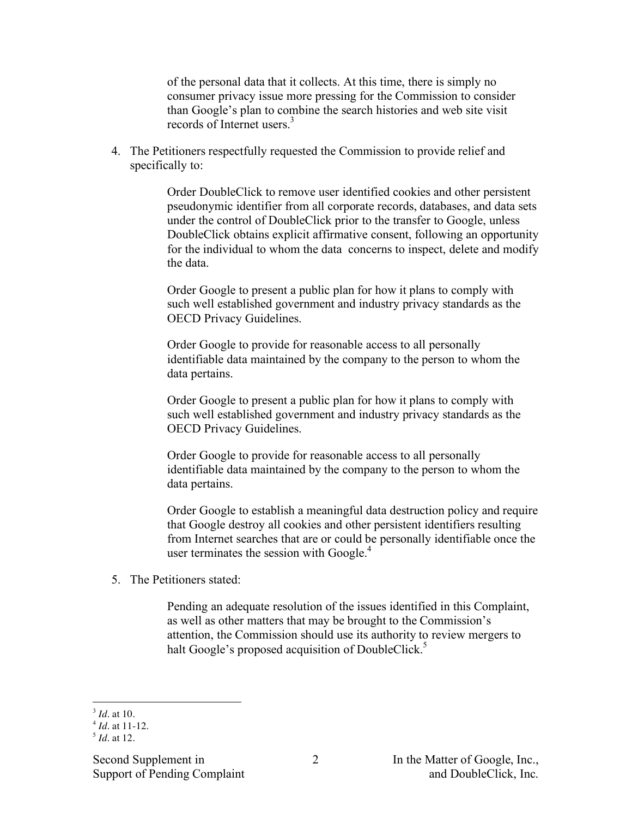of the personal data that it collects. At this time, there is simply no consumer privacy issue more pressing for the Commission to consider than Google's plan to combine the search histories and web site visit records of Internet users. 3

4. The Petitioners respectfully requested the Commission to provide relief and specifically to:

> Order DoubleClick to remove user identified cookies and other persistent pseudonymic identifier from all corporate records, databases, and data sets under the control of DoubleClick prior to the transfer to Google, unless DoubleClick obtains explicit affirmative consent, following an opportunity for the individual to whom the data concerns to inspect, delete and modify the data.

Order Google to present a public plan for how it plans to comply with such well established government and industry privacy standards as the OECD Privacy Guidelines.

Order Google to provide for reasonable access to all personally identifiable data maintained by the company to the person to whom the data pertains.

Order Google to present a public plan for how it plans to comply with such well established government and industry privacy standards as the OECD Privacy Guidelines.

Order Google to provide for reasonable access to all personally identifiable data maintained by the company to the person to whom the data pertains.

Order Google to establish a meaningful data destruction policy and require that Google destroy all cookies and other persistent identifiers resulting from Internet searches that are or could be personally identifiable once the user terminates the session with Google.<sup>4</sup>

5. The Petitioners stated:

Pending an adequate resolution of the issues identified in this Complaint, as well as other matters that may be brought to the Commission's attention, the Commission should use its authority to review mergers to halt Google's proposed acquisition of DoubleClick.<sup>5</sup>

 $\overline{a}$ <sup>3</sup> *Id.* at 10.

 $4$  *Id.* at 11-12.

 $<sup>5</sup>$  *Id.* at 12.</sup>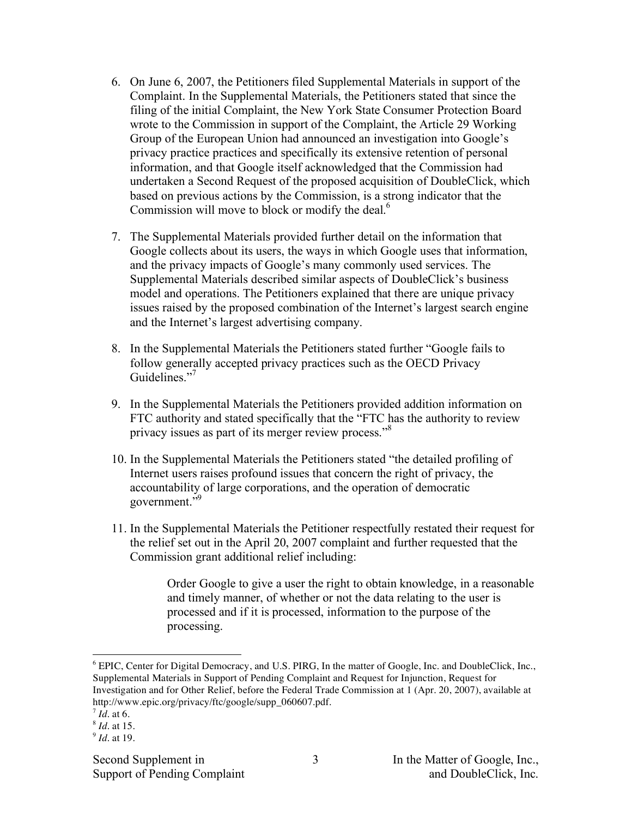- 6. On June 6, 2007, the Petitioners filed Supplemental Materials in support of the Complaint. In the Supplemental Materials, the Petitioners stated that since the filing of the initial Complaint, the New York State Consumer Protection Board wrote to the Commission in support of the Complaint, the Article 29 Working Group of the European Union had announced an investigation into Google's privacy practice practices and specifically its extensive retention of personal information, and that Google itself acknowledged that the Commission had undertaken a Second Request of the proposed acquisition of DoubleClick, which based on previous actions by the Commission, is a strong indicator that the Commission will move to block or modify the deal.<sup>6</sup>
- 7. The Supplemental Materials provided further detail on the information that Google collects about its users, the ways in which Google uses that information, and the privacy impacts of Google's many commonly used services. The Supplemental Materials described similar aspects of DoubleClick's business model and operations. The Petitioners explained that there are unique privacy issues raised by the proposed combination of the Internet's largest search engine and the Internet's largest advertising company.
- 8. In the Supplemental Materials the Petitioners stated further "Google fails to follow generally accepted privacy practices such as the OECD Privacy Guidelines."7
- 9. In the Supplemental Materials the Petitioners provided addition information on FTC authority and stated specifically that the "FTC has the authority to review privacy issues as part of its merger review process."<sup>8</sup>
- 10. In the Supplemental Materials the Petitioners stated "the detailed profiling of Internet users raises profound issues that concern the right of privacy, the accountability of large corporations, and the operation of democratic government." 9
- 11. In the Supplemental Materials the Petitioner respectfully restated their request for the relief set out in the April 20, 2007 complaint and further requested that the Commission grant additional relief including:

Order Google to give a user the right to obtain knowledge, in a reasonable and timely manner, of whether or not the data relating to the user is processed and if it is processed, information to the purpose of the processing.

 $\overline{a}$ 

 $6$  EPIC, Center for Digital Democracy, and U.S. PIRG, In the matter of Google, Inc. and DoubleClick, Inc., Supplemental Materials in Support of Pending Complaint and Request for Injunction, Request for Investigation and for Other Relief, before the Federal Trade Commission at 1 (Apr. 20, 2007), available at http://www.epic.org/privacy/ftc/google/supp\_060607.pdf.

<sup>7</sup> *Id*. at 6.

<sup>8</sup> *Id*. at 15.

<sup>9</sup> *Id*. at 19.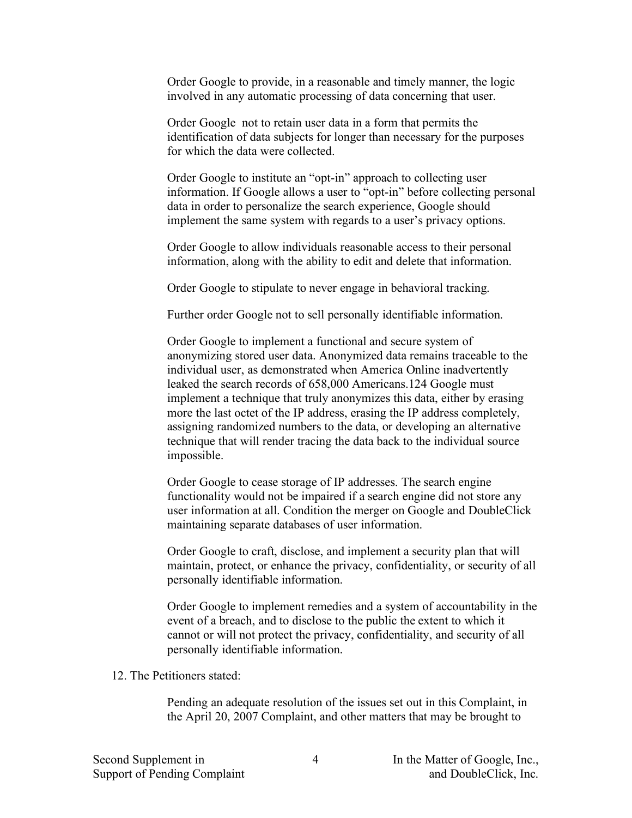Order Google to provide, in a reasonable and timely manner, the logic involved in any automatic processing of data concerning that user.

Order Google not to retain user data in a form that permits the identification of data subjects for longer than necessary for the purposes for which the data were collected.

Order Google to institute an "opt-in" approach to collecting user information. If Google allows a user to "opt-in" before collecting personal data in order to personalize the search experience, Google should implement the same system with regards to a user's privacy options.

Order Google to allow individuals reasonable access to their personal information, along with the ability to edit and delete that information.

Order Google to stipulate to never engage in behavioral tracking.

Further order Google not to sell personally identifiable information.

Order Google to implement a functional and secure system of anonymizing stored user data. Anonymized data remains traceable to the individual user, as demonstrated when America Online inadvertently leaked the search records of 658,000 Americans.124 Google must implement a technique that truly anonymizes this data, either by erasing more the last octet of the IP address, erasing the IP address completely, assigning randomized numbers to the data, or developing an alternative technique that will render tracing the data back to the individual source impossible.

Order Google to cease storage of IP addresses. The search engine functionality would not be impaired if a search engine did not store any user information at all. Condition the merger on Google and DoubleClick maintaining separate databases of user information.

Order Google to craft, disclose, and implement a security plan that will maintain, protect, or enhance the privacy, confidentiality, or security of all personally identifiable information.

Order Google to implement remedies and a system of accountability in the event of a breach, and to disclose to the public the extent to which it cannot or will not protect the privacy, confidentiality, and security of all personally identifiable information.

12. The Petitioners stated:

Pending an adequate resolution of the issues set out in this Complaint, in the April 20, 2007 Complaint, and other matters that may be brought to

4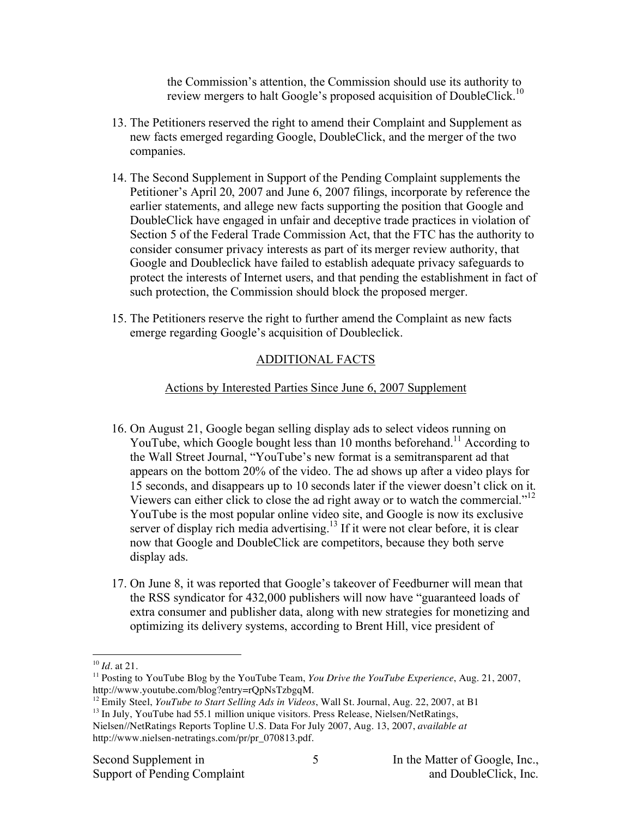the Commission's attention, the Commission should use its authority to review mergers to halt Google's proposed acquisition of DoubleClick.<sup>10</sup>

- 13. The Petitioners reserved the right to amend their Complaint and Supplement as new facts emerged regarding Google, DoubleClick, and the merger of the two companies.
- 14. The Second Supplement in Support of the Pending Complaint supplements the Petitioner's April 20, 2007 and June 6, 2007 filings, incorporate by reference the earlier statements, and allege new facts supporting the position that Google and DoubleClick have engaged in unfair and deceptive trade practices in violation of Section 5 of the Federal Trade Commission Act, that the FTC has the authority to consider consumer privacy interests as part of its merger review authority, that Google and Doubleclick have failed to establish adequate privacy safeguards to protect the interests of Internet users, and that pending the establishment in fact of such protection, the Commission should block the proposed merger.
- 15. The Petitioners reserve the right to further amend the Complaint as new facts emerge regarding Google's acquisition of Doubleclick.

# ADDITIONAL FACTS

## Actions by Interested Parties Since June 6, 2007 Supplement

- 16. On August 21, Google began selling display ads to select videos running on YouTube, which Google bought less than 10 months beforehand.<sup>11</sup> According to the Wall Street Journal, "YouTube's new format is a semitransparent ad that appears on the bottom 20% of the video. The ad shows up after a video plays for 15 seconds, and disappears up to 10 seconds later if the viewer doesn't click on it. Viewers can either click to close the ad right away or to watch the commercial."<sup>12</sup> YouTube is the most popular online video site, and Google is now its exclusive server of display rich media advertising.<sup>13</sup> If it were not clear before, it is clear now that Google and DoubleClick are competitors, because they both serve display ads.
- 17. On June 8, it was reported that Google's takeover of Feedburner will mean that the RSS syndicator for 432,000 publishers will now have "guaranteed loads of extra consumer and publisher data, along with new strategies for monetizing and optimizing its delivery systems, according to Brent Hill, vice president of

 $\overline{a}$ <sup>10</sup> *Id*. at 21.

<sup>11</sup> Posting to YouTube Blog by the YouTube Team, *You Drive the YouTube Experience*, Aug. 21, 2007, http://www.youtube.com/blog?entry=rQpNsTzbgqM.

<sup>12</sup> Emily Steel, *YouTube to Start Selling Ads in Videos*, Wall St. Journal, Aug. 22, 2007, at B1

<sup>&</sup>lt;sup>13</sup> In July, YouTube had 55.1 million unique visitors. Press Release, Nielsen/NetRatings, Nielsen//NetRatings Reports Topline U.S. Data For July 2007, Aug. 13, 2007, *available at*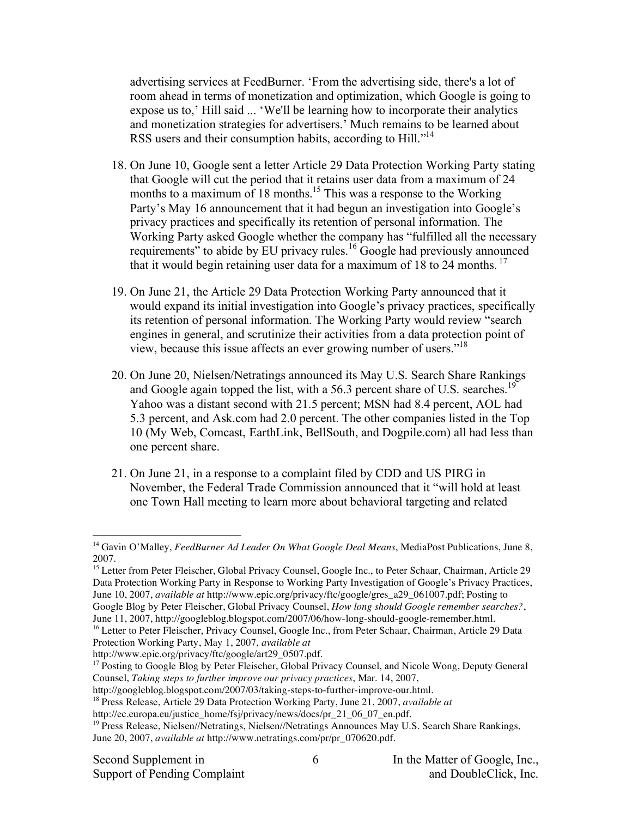advertising services at FeedBurner. 'From the advertising side, there's a lot of room ahead in terms of monetization and optimization, which Google is going to expose us to,' Hill said ... 'We'll be learning how to incorporate their analytics and monetization strategies for advertisers.' Much remains to be learned about RSS users and their consumption habits, according to Hill."<sup>14</sup>

- 18. On June 10, Google sent a letter Article 29 Data Protection Working Party stating that Google will cut the period that it retains user data from a maximum of 24 months to a maximum of 18 months.<sup>15</sup> This was a response to the Working Party's May 16 announcement that it had begun an investigation into Google's privacy practices and specifically its retention of personal information. The Working Party asked Google whether the company has "fulfilled all the necessary requirements" to abide by EU privacy rules.<sup>16</sup> Google had previously announced that it would begin retaining user data for a maximum of  $18$  to 24 months.<sup>17</sup>
- 19. On June 21, the Article 29 Data Protection Working Party announced that it would expand its initial investigation into Google's privacy practices, specifically its retention of personal information. The Working Party would review "search engines in general, and scrutinize their activities from a data protection point of view, because this issue affects an ever growing number of users." 18
- 20. On June 20, Nielsen/Netratings announced its May U.S. Search Share Rankings and Google again topped the list, with a 56.3 percent share of U.S. searches.<sup>19</sup> Yahoo was a distant second with 21.5 percent; MSN had 8.4 percent, AOL had 5.3 percent, and Ask.com had 2.0 percent. The other companies listed in the Top 10 (My Web, Comcast, EarthLink, BellSouth, and Dogpile.com) all had less than one percent share.
- 21. On June 21, in a response to a complaint filed by CDD and US PIRG in November, the Federal Trade Commission announced that it "will hold at least one Town Hall meeting to learn more about behavioral targeting and related

<sup>15</sup> Letter from Peter Fleischer, Global Privacy Counsel, Google Inc., to Peter Schaar, Chairman, Article 29 Data Protection Working Party in Response to Working Party Investigation of Google's Privacy Practices, June 10, 2007, *available at* http://www.epic.org/privacy/ftc/google/gres\_a29\_061007.pdf; Posting to Google Blog by Peter Fleischer, Global Privacy Counsel, *How long should Google remember searches?*,

http://www.epic.org/privacy/ftc/google/art29\_0507.pdf.

 $\overline{a}$ 

<sup>14</sup> Gavin O'Malley, *FeedBurner Ad Leader On What Google Deal Means*, MediaPost Publications, June 8, 2007.

June 11, 2007, http://googleblog.blogspot.com/2007/06/how-long-should-google-remember.html.

<sup>&</sup>lt;sup>16</sup> Letter to Peter Fleischer, Privacy Counsel, Google Inc., from Peter Schaar, Chairman, Article 29 Data Protection Working Party, May 1, 2007, *available at*

<sup>&</sup>lt;sup>17</sup> Posting to Google Blog by Peter Fleischer, Global Privacy Counsel, and Nicole Wong, Deputy General Counsel, *Taking steps to further improve our privacy practices*, Mar. 14, 2007,

http://googleblog.blogspot.com/2007/03/taking-steps-to-further-improve-our.html.

<sup>18</sup> Press Release, Article 29 Data Protection Working Party, June 21, 2007, *available at*

http://ec.europa.eu/justice\_home/fsj/privacy/news/docs/pr\_21\_06\_07\_en.pdf.

<sup>&</sup>lt;sup>19</sup> Press Release, Nielsen//Netratings, Nielsen//Netratings Announces May U.S. Search Share Rankings, June 20, 2007, *available at* http://www.netratings.com/pr/pr\_070620.pdf.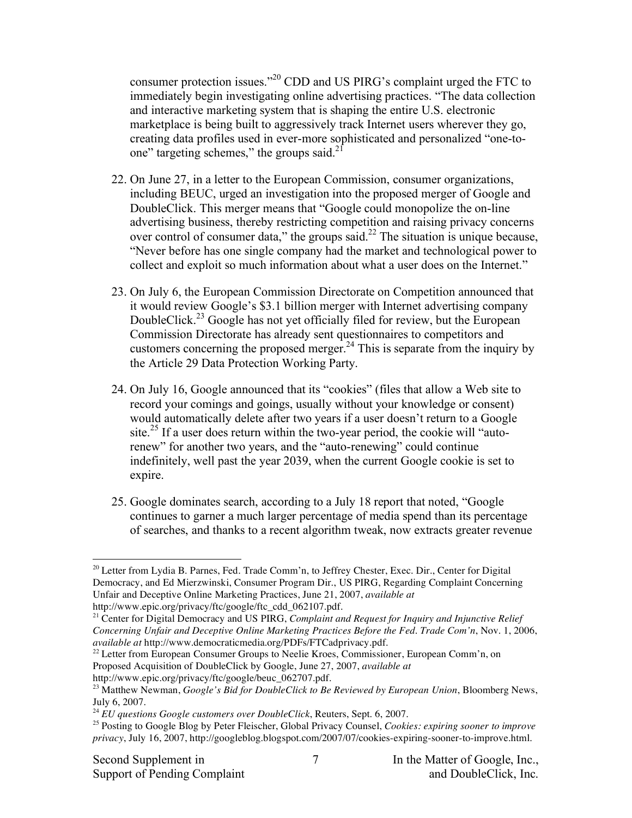consumer protection issues." <sup>20</sup> CDD and US PIRG's complaint urged the FTC to immediately begin investigating online advertising practices. "The data collection and interactive marketing system that is shaping the entire U.S. electronic marketplace is being built to aggressively track Internet users wherever they go, creating data profiles used in ever-more sophisticated and personalized "one-toone" targeting schemes," the groups said.<sup>21</sup>

- 22. On June 27, in a letter to the European Commission, consumer organizations, including BEUC, urged an investigation into the proposed merger of Google and DoubleClick. This merger means that "Google could monopolize the on-line advertising business, thereby restricting competition and raising privacy concerns over control of consumer data," the groups said. $^{22}$  The situation is unique because, "Never before has one single company had the market and technological power to collect and exploit so much information about what a user does on the Internet."
- 23. On July 6, the European Commission Directorate on Competition announced that it would review Google's \$3.1 billion merger with Internet advertising company DoubleClick.<sup>23</sup> Google has not yet officially filed for review, but the European Commission Directorate has already sent questionnaires to competitors and customers concerning the proposed merger.<sup>24</sup> This is separate from the inquiry by the Article 29 Data Protection Working Party.
- 24. On July 16, Google announced that its "cookies" (files that allow a Web site to record your comings and goings, usually without your knowledge or consent) would automatically delete after two years if a user doesn't return to a Google site.<sup>25</sup> If a user does return within the two-year period, the cookie will "autorenew" for another two years, and the "auto-renewing" could continue indefinitely, well past the year 2039, when the current Google cookie is set to expire.
- 25. Google dominates search, according to a July 18 report that noted, "Google continues to garner a much larger percentage of media spend than its percentage of searches, and thanks to a recent algorithm tweak, now extracts greater revenue

 $\overline{a}$  $^{20}$  Letter from Lydia B. Parnes, Fed. Trade Comm'n, to Jeffrey Chester, Exec. Dir., Center for Digital Democracy, and Ed Mierzwinski, Consumer Program Dir., US PIRG, Regarding Complaint Concerning Unfair and Deceptive Online Marketing Practices, June 21, 2007, *available at* http://www.epic.org/privacy/ftc/google/ftc\_cdd\_062107.pdf.

<sup>21</sup> Center for Digital Democracy and US PIRG, *Complaint and Request for Inquiry and Injunctive Relief Concerning Unfair and Deceptive Online Marketing Practices Before the Fed. Trade Com'n*, Nov. 1, 2006, *available at* http://www.democraticmedia.org/PDFs/FTCadprivacy.pdf.

 $^{22}$  Letter from European Consumer Groups to Neelie Kroes, Commissioner, European Comm'n, on Proposed Acquisition of DoubleClick by Google, June 27, 2007, *available at* http://www.epic.org/privacy/ftc/google/beuc\_062707.pdf.

<sup>23</sup> Matthew Newman, *Google's Bid for DoubleClick to Be Reviewed by European Union*, Bloomberg News,

July 6, 2007.

<sup>24</sup> *EU questions Google customers over DoubleClick*, Reuters, Sept. 6, 2007.

<sup>25</sup> Posting to Google Blog by Peter Fleischer, Global Privacy Counsel, *Cookies: expiring sooner to improve privacy*, July 16, 2007, http://googleblog.blogspot.com/2007/07/cookies-expiring-sooner-to-improve.html.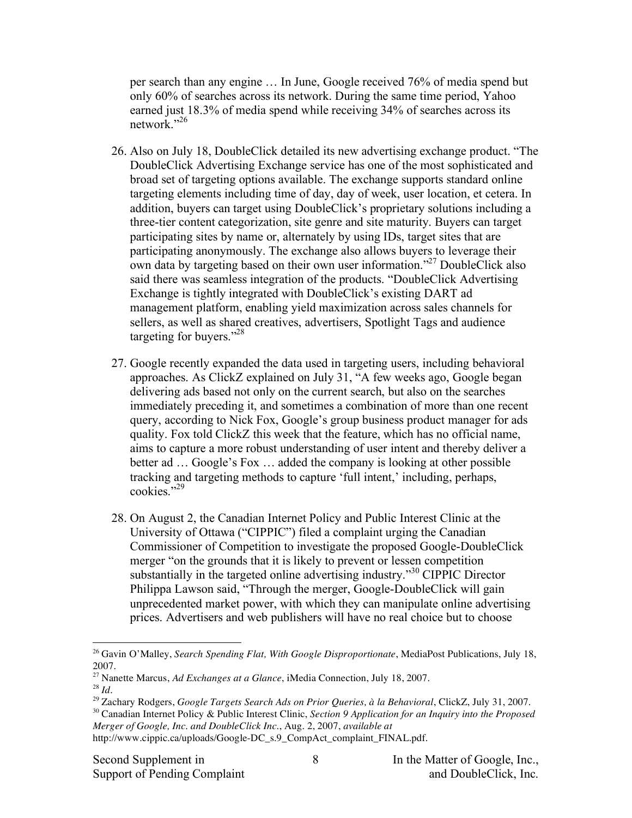per search than any engine … In June, Google received 76% of media spend but only 60% of searches across its network. During the same time period, Yahoo earned just 18.3% of media spend while receiving 34% of searches across its network."<sup>26</sup>

- 26. Also on July 18, DoubleClick detailed its new advertising exchange product. "The DoubleClick Advertising Exchange service has one of the most sophisticated and broad set of targeting options available. The exchange supports standard online targeting elements including time of day, day of week, user location, et cetera. In addition, buyers can target using DoubleClick's proprietary solutions including a three-tier content categorization, site genre and site maturity. Buyers can target participating sites by name or, alternately by using IDs, target sites that are participating anonymously. The exchange also allows buyers to leverage their own data by targeting based on their own user information."<sup>27</sup> DoubleClick also said there was seamless integration of the products. "DoubleClick Advertising Exchange is tightly integrated with DoubleClick's existing DART ad management platform, enabling yield maximization across sales channels for sellers, as well as shared creatives, advertisers, Spotlight Tags and audience targeting for buyers."<sup>28</sup>
- 27. Google recently expanded the data used in targeting users, including behavioral approaches. As ClickZ explained on July 31, "A few weeks ago, Google began delivering ads based not only on the current search, but also on the searches immediately preceding it, and sometimes a combination of more than one recent query, according to Nick Fox, Google's group business product manager for ads quality. Fox told ClickZ this week that the feature, which has no official name, aims to capture a more robust understanding of user intent and thereby deliver a better ad … Google's Fox … added the company is looking at other possible tracking and targeting methods to capture 'full intent,' including, perhaps, cookies." 29
- 28. On August 2, the Canadian Internet Policy and Public Interest Clinic at the University of Ottawa ("CIPPIC") filed a complaint urging the Canadian Commissioner of Competition to investigate the proposed Google-DoubleClick merger "on the grounds that it is likely to prevent or lessen competition substantially in the targeted online advertising industry."<sup>30</sup> CIPPIC Director Philippa Lawson said, "Through the merger, Google-DoubleClick will gain unprecedented market power, with which they can manipulate online advertising prices. Advertisers and web publishers will have no real choice but to choose

 $\overline{a}$ 

<sup>30</sup> Canadian Internet Policy & Public Interest Clinic, *Section 9 Application for an Inquiry into the Proposed Merger of Google, Inc. and DoubleClick Inc.*, Aug. 2, 2007, *available at* http://www.cippic.ca/uploads/Google-DC\_s.9\_CompAct\_complaint\_FINAL.pdf.

<sup>26</sup> Gavin O'Malley, *Search Spending Flat, With Google Disproportionate*, MediaPost Publications, July 18, 2007.

<sup>27</sup> Nanette Marcus, *Ad Exchanges at a Glance*, iMedia Connection, July 18, 2007.

<sup>28</sup> *Id*.

<sup>29</sup> Zachary Rodgers, *Google Targets Search Ads on Prior Queries, à la Behavioral*, ClickZ, July 31, 2007.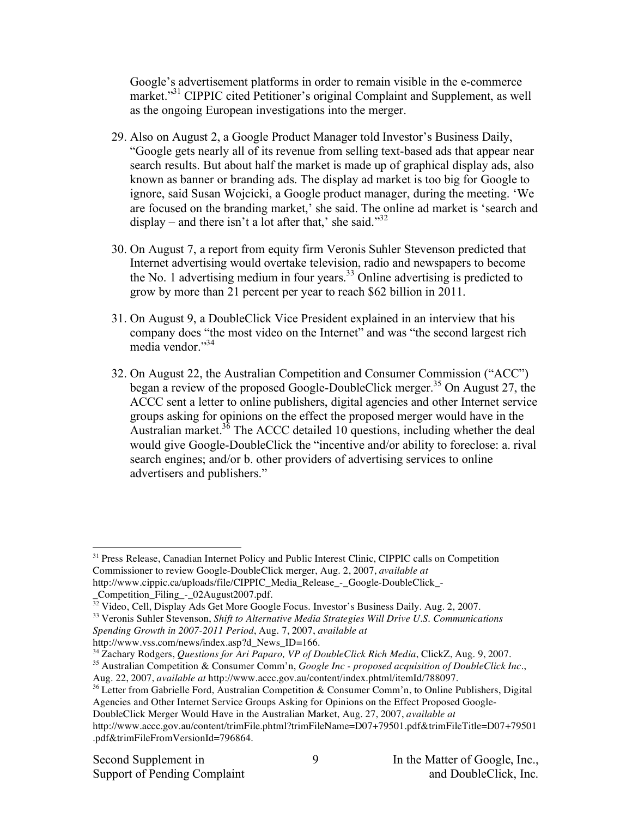Google's advertisement platforms in order to remain visible in the e-commerce market."<sup>31</sup> CIPPIC cited Petitioner's original Complaint and Supplement, as well as the ongoing European investigations into the merger.

- 29. Also on August 2, a Google Product Manager told Investor's Business Daily, "Google gets nearly all of its revenue from selling text-based ads that appear near search results. But about half the market is made up of graphical display ads, also known as banner or branding ads. The display ad market is too big for Google to ignore, said Susan Wojcicki, a Google product manager, during the meeting. 'We are focused on the branding market,' she said. The online ad market is 'search and display – and there isn't a lot after that,' she said."<sup>32</sup>
- 30. On August 7, a report from equity firm Veronis Suhler Stevenson predicted that Internet advertising would overtake television, radio and newspapers to become the No. 1 advertising medium in four years. <sup>33</sup> Online advertising is predicted to grow by more than 21 percent per year to reach \$62 billion in 2011.
- 31. On August 9, a DoubleClick Vice President explained in an interview that his company does "the most video on the Internet" and was "the second largest rich media vendor." 34
- 32. On August 22, the Australian Competition and Consumer Commission ("ACC") began a review of the proposed Google-DoubleClick merger. <sup>35</sup> On August 27, the ACCC sent a letter to online publishers, digital agencies and other Internet service groups asking for opinions on the effect the proposed merger would have in the Australian market.<sup>36</sup> The ACCC detailed 10 questions, including whether the deal would give Google-DoubleClick the "incentive and/or ability to foreclose: a. rival search engines; and/or b. other providers of advertising services to online advertisers and publishers."

<sup>33</sup> Veronis Suhler Stevenson, *Shift to Alternative Media Strategies Will Drive U.S. Communications Spending Growth in 2007-2011 Period*, Aug. 7, 2007, *available at*

 $\overline{a}$ <sup>31</sup> Press Release, Canadian Internet Policy and Public Interest Clinic, CIPPIC calls on Competition Commissioner to review Google-DoubleClick merger, Aug. 2, 2007, *available at* http://www.cippic.ca/uploads/file/CIPPIC\_Media\_Release\_-\_Google-DoubleClick\_-

\_Competition\_Filing\_-\_02August2007.pdf.

<sup>&</sup>lt;sup>32</sup> Video, Cell, Display Ads Get More Google Focus. Investor's Business Daily. Aug. 2, 2007.

http://www.vss.com/news/index.asp?d\_News\_ID=166.

<sup>34</sup> Zachary Rodgers, *Questions for Ari Paparo, VP of DoubleClick Rich Media*, ClickZ, Aug. 9, 2007.

<sup>35</sup> Australian Competition & Consumer Comm'n, *Google Inc - proposed acquisition of DoubleClick Inc*., Aug. 22, 2007, *available at* http://www.accc.gov.au/content/index.phtml/itemId/788097.

<sup>&</sup>lt;sup>36</sup> Letter from Gabrielle Ford, Australian Competition & Consumer Comm'n, to Online Publishers, Digital Agencies and Other Internet Service Groups Asking for Opinions on the Effect Proposed Google-

DoubleClick Merger Would Have in the Australian Market, Aug. 27, 2007, *available at*

http://www.accc.gov.au/content/trimFile.phtml?trimFileName=D07+79501.pdf&trimFileTitle=D07+79501 .pdf&trimFileFromVersionId=796864.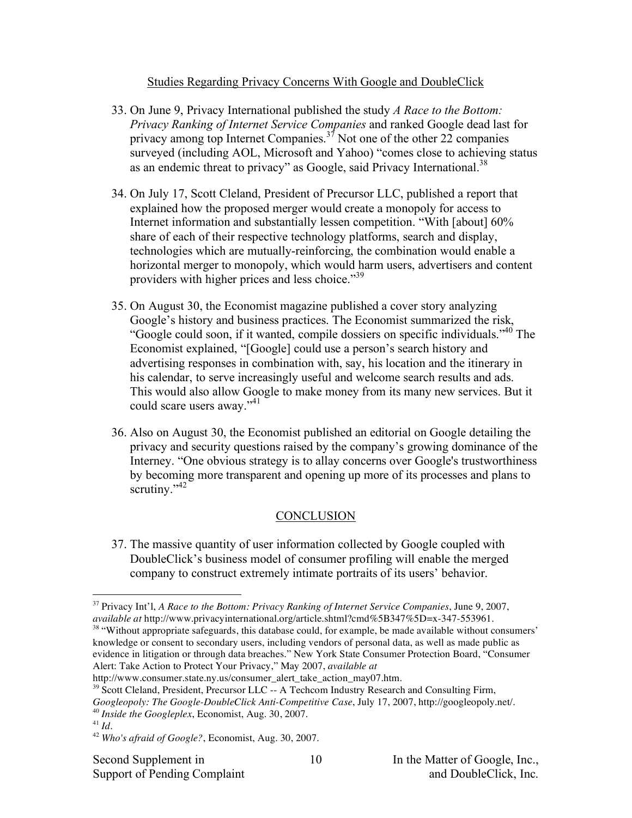### Studies Regarding Privacy Concerns With Google and DoubleClick

- 33. On June 9, Privacy International published the study *A Race to the Bottom: Privacy Ranking of Internet Service Companies* and ranked Google dead last for privacy among top Internet Companies.<sup>37</sup> Not one of the other 22 companies surveyed (including AOL, Microsoft and Yahoo) "comes close to achieving status as an endemic threat to privacy" as Google, said Privacy International.<sup>38</sup>
- 34. On July 17, Scott Cleland, President of Precursor LLC, published a report that explained how the proposed merger would create a monopoly for access to Internet information and substantially lessen competition. "With [about] 60% share of each of their respective technology platforms, search and display, technologies which are mutually-reinforcing, the combination would enable a horizontal merger to monopoly, which would harm users, advertisers and content providers with higher prices and less choice."<sup>39</sup>
- 35. On August 30, the Economist magazine published a cover story analyzing Google's history and business practices. The Economist summarized the risk, "Google could soon, if it wanted, compile dossiers on specific individuals."<sup>40</sup> The Economist explained, "[Google] could use a person's search history and advertising responses in combination with, say, his location and the itinerary in his calendar, to serve increasingly useful and welcome search results and ads. This would also allow Google to make money from its many new services. But it could scare users away."<sup>41</sup>
- 36. Also on August 30, the Economist published an editorial on Google detailing the privacy and security questions raised by the company's growing dominance of the Interney. "One obvious strategy is to allay concerns over Google's trustworthiness by becoming more transparent and opening up more of its processes and plans to scrutiny."<sup>42</sup>

## **CONCLUSION**

37. The massive quantity of user information collected by Google coupled with DoubleClick's business model of consumer profiling will enable the merged company to construct extremely intimate portraits of its users' behavior.

 $38$  "Without appropriate safeguards, this database could, for example, be made available without consumers' knowledge or consent to secondary users, including vendors of personal data, as well as made public as evidence in litigation or through data breaches." New York State Consumer Protection Board, "Consumer Alert: Take Action to Protect Your Privacy," May 2007, *available at*

 $\overline{a}$ <sup>37</sup> Privacy Int'l, *A Race to the Bottom: Privacy Ranking of Internet Service Companies*, June 9, 2007, *available at* http://www.privacyinternational.org/article.shtml?cmd%5B347%5D=x-347-553961.

http://www.consumer.state.ny.us/consumer\_alert\_take\_action\_may07.htm.

<sup>&</sup>lt;sup>39</sup> Scott Cleland, President, Precursor LLC -- A Techcom Industry Research and Consulting Firm, *Googleopoly: The Google-DoubleClick Anti-Competitive Case*, July 17, 2007, http://googleopoly.net/. <sup>40</sup> *Inside the Googleplex*, Economist, Aug. 30, 2007.

<sup>41</sup> *Id*.

<sup>42</sup> *Who's afraid of Google?*, Economist, Aug. 30, 2007.